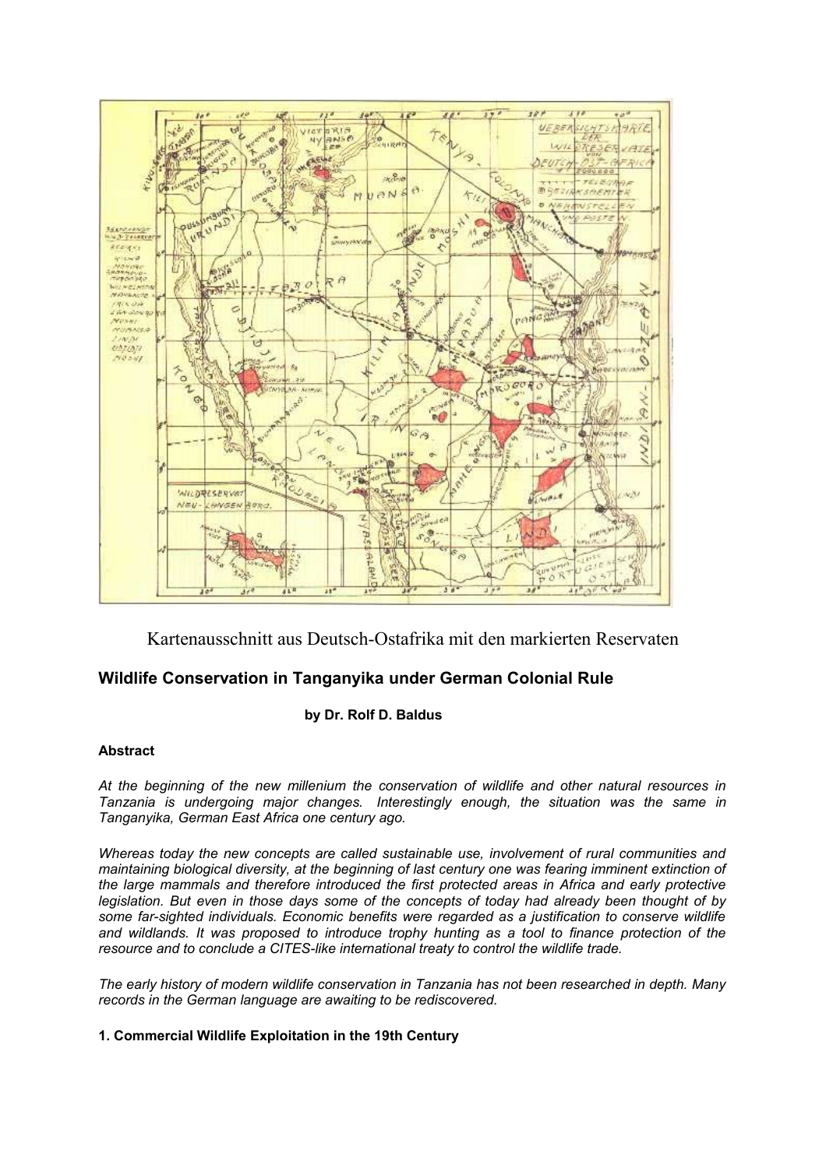

Kartenausschnitt aus Deutsch-Ostafrika mit den markierten Reservaten

# **Wildlife Conservation in Tanganyika under German Colonial Rule**

## **by Dr. Rolf D. Baldus**

## **Abstract**

*At the beginning of the new millenium the conservation of wildlife and other natural resources in Tanzania is undergoing major changes. Interestingly enough, the situation was the same in Tanganyika, German East Africa one century ago.* 

*Whereas today the new concepts are called sustainable use, involvement of rural communities and maintaining biological diversity, at the beginning of last century one was fearing imminent extinction of the large mammals and therefore introduced the first protected areas in Africa and early protective legislation. But even in those days some of the concepts of today had already been thought of by some far-sighted individuals. Economic benefits were regarded as a justification to conserve wildlife and wildlands. It was proposed to introduce trophy hunting as a tool to finance protection of the resource and to conclude a CITES-like international treaty to control the wildlife trade.*

*The early history of modern wildlife conservation in Tanzania has not been researched in depth. Many records in the German language are awaiting to be rediscovered.* 

## **1. Commercial Wildlife Exploitation in the 19th Century**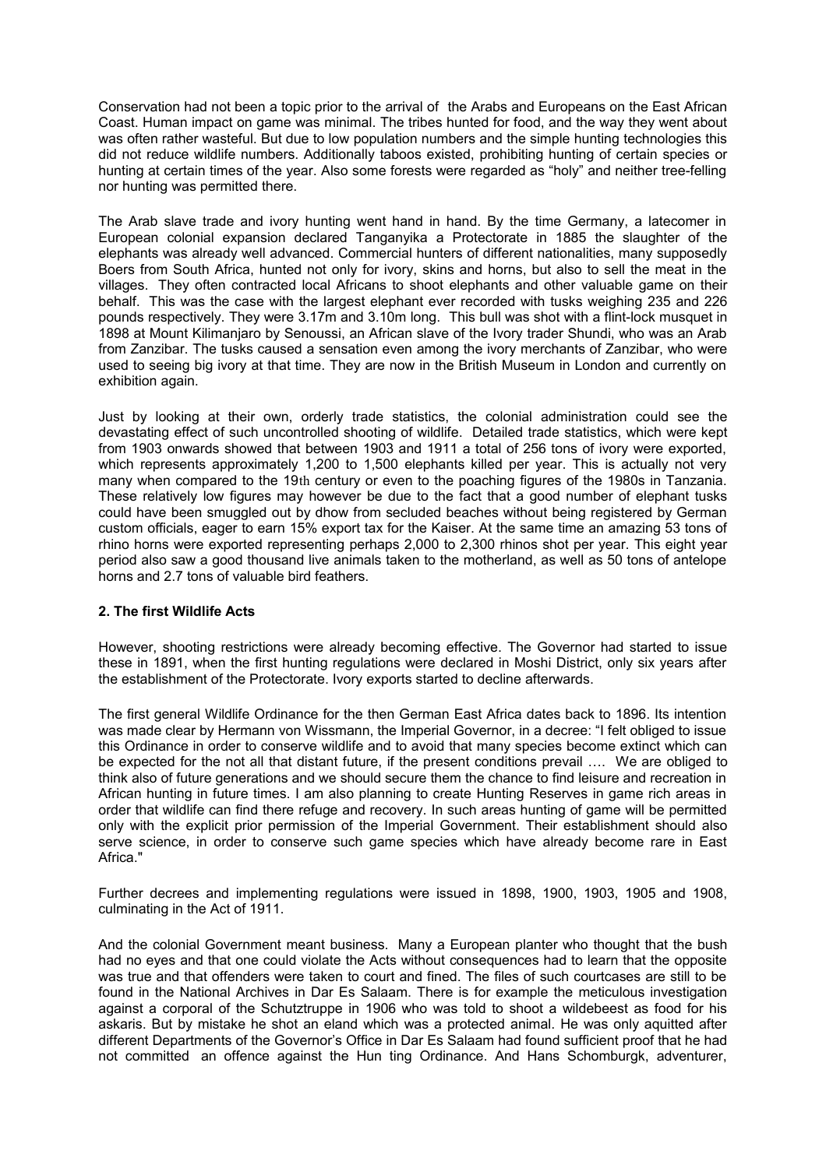Conservation had not been a topic prior to the arrival of the Arabs and Europeans on the East African Coast. Human impact on game was minimal. The tribes hunted for food, and the way they went about was often rather wasteful. But due to low population numbers and the simple hunting technologies this did not reduce wildlife numbers. Additionally taboos existed, prohibiting hunting of certain species or hunting at certain times of the year. Also some forests were regarded as "holy" and neither tree-felling nor hunting was permitted there.

The Arab slave trade and ivory hunting went hand in hand. By the time Germany, a latecomer in European colonial expansion declared Tanganyika a Protectorate in 1885 the slaughter of the elephants was already well advanced. Commercial hunters of different nationalities, many supposedly Boers from South Africa, hunted not only for ivory, skins and horns, but also to sell the meat in the villages. They often contracted local Africans to shoot elephants and other valuable game on their behalf. This was the case with the largest elephant ever recorded with tusks weighing 235 and 226 pounds respectively. They were 3.17m and 3.10m long. This bull was shot with a flint-lock musquet in 1898 at Mount Kilimanjaro by Senoussi, an African slave of the Ivory trader Shundi, who was an Arab from Zanzibar. The tusks caused a sensation even among the ivory merchants of Zanzibar, who were used to seeing big ivory at that time. They are now in the British Museum in London and currently on exhibition again.

Just by looking at their own, orderly trade statistics, the colonial administration could see the devastating effect of such uncontrolled shooting of wildlife. Detailed trade statistics, which were kept from 1903 onwards showed that between 1903 and 1911 a total of 256 tons of ivory were exported, which represents approximately 1,200 to 1,500 elephants killed per year. This is actually not very many when compared to the 19th century or even to the poaching figures of the 1980s in Tanzania. These relatively low figures may however be due to the fact that a good number of elephant tusks could have been smuggled out by dhow from secluded beaches without being registered by German custom officials, eager to earn 15% export tax for the Kaiser. At the same time an amazing 53 tons of rhino horns were exported representing perhaps 2,000 to 2,300 rhinos shot per year. This eight year period also saw a good thousand live animals taken to the motherland, as well as 50 tons of antelope horns and 2.7 tons of valuable bird feathers.

## **2. The first Wildlife Acts**

However, shooting restrictions were already becoming effective. The Governor had started to issue these in 1891, when the first hunting regulations were declared in Moshi District, only six years after the establishment of the Protectorate. Ivory exports started to decline afterwards.

The first general Wildlife Ordinance for the then German East Africa dates back to 1896. Its intention was made clear by Hermann von Wissmann, the Imperial Governor, in a decree: "I felt obliged to issue this Ordinance in order to conserve wildlife and to avoid that many species become extinct which can be expected for the not all that distant future, if the present conditions prevail …. We are obliged to think also of future generations and we should secure them the chance to find leisure and recreation in African hunting in future times. I am also planning to create Hunting Reserves in game rich areas in order that wildlife can find there refuge and recovery. In such areas hunting of game will be permitted only with the explicit prior permission of the Imperial Government. Their establishment should also serve science, in order to conserve such game species which have already become rare in East Africa."

Further decrees and implementing regulations were issued in 1898, 1900, 1903, 1905 and 1908, culminating in the Act of 1911.

And the colonial Government meant business. Many a European planter who thought that the bush had no eyes and that one could violate the Acts without consequences had to learn that the opposite was true and that offenders were taken to court and fined. The files of such courtcases are still to be found in the National Archives in Dar Es Salaam. There is for example the meticulous investigation against a corporal of the Schutztruppe in 1906 who was told to shoot a wildebeest as food for his askaris. But by mistake he shot an eland which was a protected animal. He was only aquitted after different Departments of the Governor's Office in Dar Es Salaam had found sufficient proof that he had not committed an offence against the Hun ting Ordinance. And Hans Schomburgk, adventurer,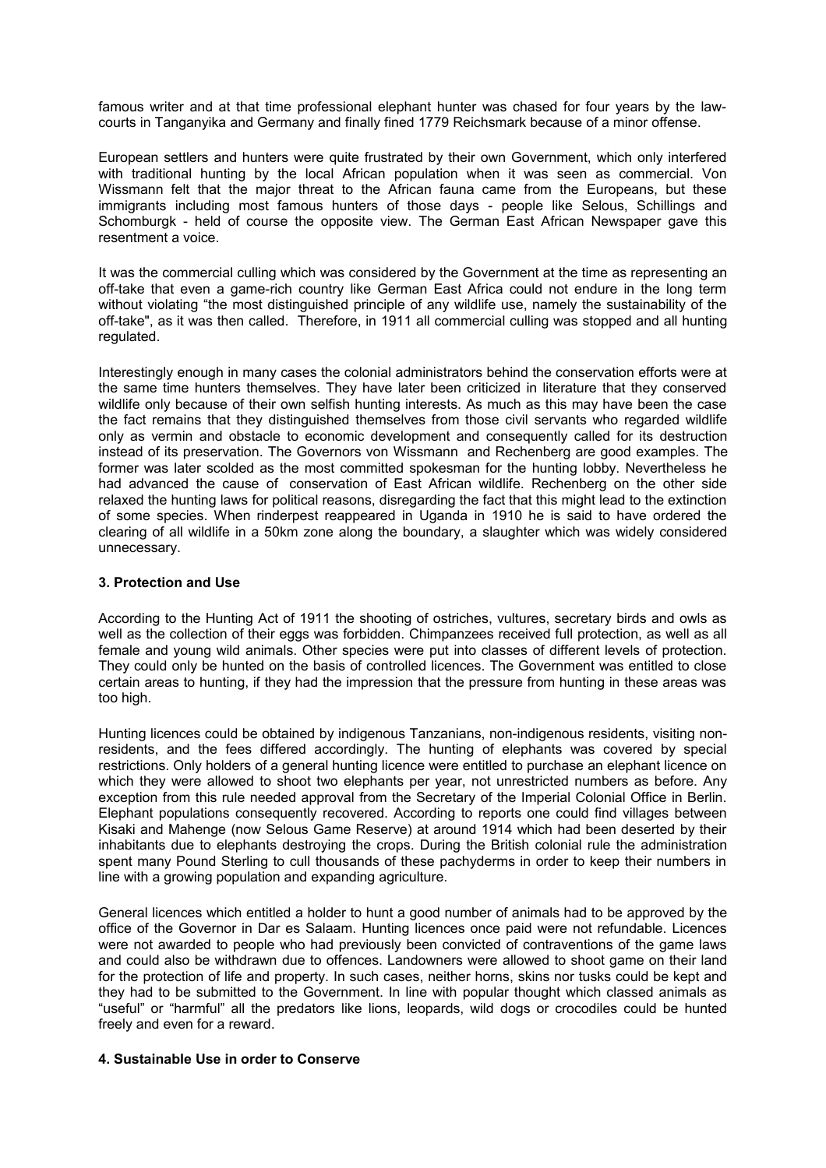famous writer and at that time professional elephant hunter was chased for four years by the lawcourts in Tanganyika and Germany and finally fined 1779 Reichsmark because of a minor offense.

European settlers and hunters were quite frustrated by their own Government, which only interfered with traditional hunting by the local African population when it was seen as commercial. Von Wissmann felt that the major threat to the African fauna came from the Europeans, but these immigrants including most famous hunters of those days - people like Selous, Schillings and Schomburgk - held of course the opposite view. The German East African Newspaper gave this resentment a voice.

It was the commercial culling which was considered by the Government at the time as representing an off-take that even a game-rich country like German East Africa could not endure in the long term without violating "the most distinguished principle of any wildlife use, namely the sustainability of the off-take", as it was then called. Therefore, in 1911 all commercial culling was stopped and all hunting regulated.

Interestingly enough in many cases the colonial administrators behind the conservation efforts were at the same time hunters themselves. They have later been criticized in literature that they conserved wildlife only because of their own selfish hunting interests. As much as this may have been the case the fact remains that they distinguished themselves from those civil servants who regarded wildlife only as vermin and obstacle to economic development and consequently called for its destruction instead of its preservation. The Governors von Wissmann and Rechenberg are good examples. The former was later scolded as the most committed spokesman for the hunting lobby. Nevertheless he had advanced the cause of conservation of East African wildlife. Rechenberg on the other side relaxed the hunting laws for political reasons, disregarding the fact that this might lead to the extinction of some species. When rinderpest reappeared in Uganda in 1910 he is said to have ordered the clearing of all wildlife in a 50km zone along the boundary, a slaughter which was widely considered unnecessary.

#### **3. Protection and Use**

According to the Hunting Act of 1911 the shooting of ostriches, vultures, secretary birds and owls as well as the collection of their eggs was forbidden. Chimpanzees received full protection, as well as all female and young wild animals. Other species were put into classes of different levels of protection. They could only be hunted on the basis of controlled licences. The Government was entitled to close certain areas to hunting, if they had the impression that the pressure from hunting in these areas was too high.

Hunting licences could be obtained by indigenous Tanzanians, non-indigenous residents, visiting nonresidents, and the fees differed accordingly. The hunting of elephants was covered by special restrictions. Only holders of a general hunting licence were entitled to purchase an elephant licence on which they were allowed to shoot two elephants per year, not unrestricted numbers as before. Any exception from this rule needed approval from the Secretary of the Imperial Colonial Office in Berlin. Elephant populations consequently recovered. According to reports one could find villages between Kisaki and Mahenge (now Selous Game Reserve) at around 1914 which had been deserted by their inhabitants due to elephants destroying the crops. During the British colonial rule the administration spent many Pound Sterling to cull thousands of these pachyderms in order to keep their numbers in line with a growing population and expanding agriculture.

General licences which entitled a holder to hunt a good number of animals had to be approved by the office of the Governor in Dar es Salaam. Hunting licences once paid were not refundable. Licences were not awarded to people who had previously been convicted of contraventions of the game laws and could also be withdrawn due to offences. Landowners were allowed to shoot game on their land for the protection of life and property. In such cases, neither horns, skins nor tusks could be kept and they had to be submitted to the Government. In line with popular thought which classed animals as "useful" or "harmful" all the predators like lions, leopards, wild dogs or crocodiles could be hunted freely and even for a reward.

#### **4. Sustainable Use in order to Conserve**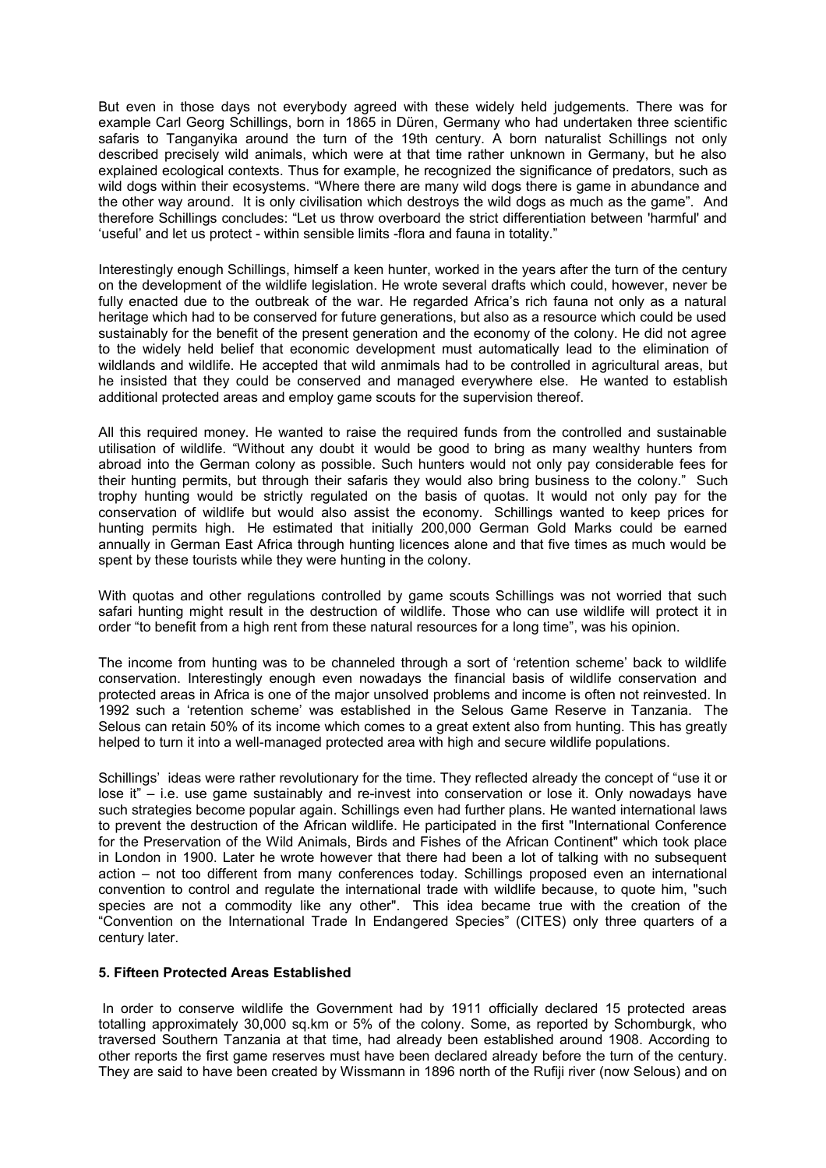But even in those days not everybody agreed with these widely held judgements. There was for example Carl Georg Schillings, born in 1865 in Düren, Germany who had undertaken three scientific safaris to Tanganyika around the turn of the 19th century. A born naturalist Schillings not only described precisely wild animals, which were at that time rather unknown in Germany, but he also explained ecological contexts. Thus for example, he recognized the significance of predators, such as wild dogs within their ecosystems. "Where there are many wild dogs there is game in abundance and the other way around. It is only civilisation which destroys the wild dogs as much as the game". And therefore Schillings concludes: "Let us throw overboard the strict differentiation between 'harmful' and 'useful' and let us protect - within sensible limits -flora and fauna in totality."

Interestingly enough Schillings, himself a keen hunter, worked in the years after the turn of the century on the development of the wildlife legislation. He wrote several drafts which could, however, never be fully enacted due to the outbreak of the war. He regarded Africa's rich fauna not only as a natural heritage which had to be conserved for future generations, but also as a resource which could be used sustainably for the benefit of the present generation and the economy of the colony. He did not agree to the widely held belief that economic development must automatically lead to the elimination of wildlands and wildlife. He accepted that wild anmimals had to be controlled in agricultural areas, but he insisted that they could be conserved and managed everywhere else. He wanted to establish additional protected areas and employ game scouts for the supervision thereof.

All this required money. He wanted to raise the required funds from the controlled and sustainable utilisation of wildlife. "Without any doubt it would be good to bring as many wealthy hunters from abroad into the German colony as possible. Such hunters would not only pay considerable fees for their hunting permits, but through their safaris they would also bring business to the colony." Such trophy hunting would be strictly regulated on the basis of quotas. It would not only pay for the conservation of wildlife but would also assist the economy. Schillings wanted to keep prices for hunting permits high. He estimated that initially 200,000 German Gold Marks could be earned annually in German East Africa through hunting licences alone and that five times as much would be spent by these tourists while they were hunting in the colony.

With quotas and other regulations controlled by game scouts Schillings was not worried that such safari hunting might result in the destruction of wildlife. Those who can use wildlife will protect it in order "to benefit from a high rent from these natural resources for a long time", was his opinion.

The income from hunting was to be channeled through a sort of 'retention scheme' back to wildlife conservation. Interestingly enough even nowadays the financial basis of wildlife conservation and protected areas in Africa is one of the major unsolved problems and income is often not reinvested. In 1992 such a 'retention scheme' was established in the Selous Game Reserve in Tanzania. The Selous can retain 50% of its income which comes to a great extent also from hunting. This has greatly helped to turn it into a well-managed protected area with high and secure wildlife populations.

Schillings' ideas were rather revolutionary for the time. They reflected already the concept of "use it or lose it" – i.e. use game sustainably and re-invest into conservation or lose it. Only nowadays have such strategies become popular again. Schillings even had further plans. He wanted international laws to prevent the destruction of the African wildlife. He participated in the first "International Conference for the Preservation of the Wild Animals, Birds and Fishes of the African Continent" which took place in London in 1900. Later he wrote however that there had been a lot of talking with no subsequent action – not too different from many conferences today. Schillings proposed even an international convention to control and regulate the international trade with wildlife because, to quote him, "such species are not a commodity like any other". This idea became true with the creation of the "Convention on the International Trade In Endangered Species" (CITES) only three quarters of a century later.

#### **5. Fifteen Protected Areas Established**

In order to conserve wildlife the Government had by 1911 officially declared 15 protected areas totalling approximately 30,000 sq.km or 5% of the colony. Some, as reported by Schomburgk, who traversed Southern Tanzania at that time, had already been established around 1908. According to other reports the first game reserves must have been declared already before the turn of the century. They are said to have been created by Wissmann in 1896 north of the Rufiji river (now Selous) and on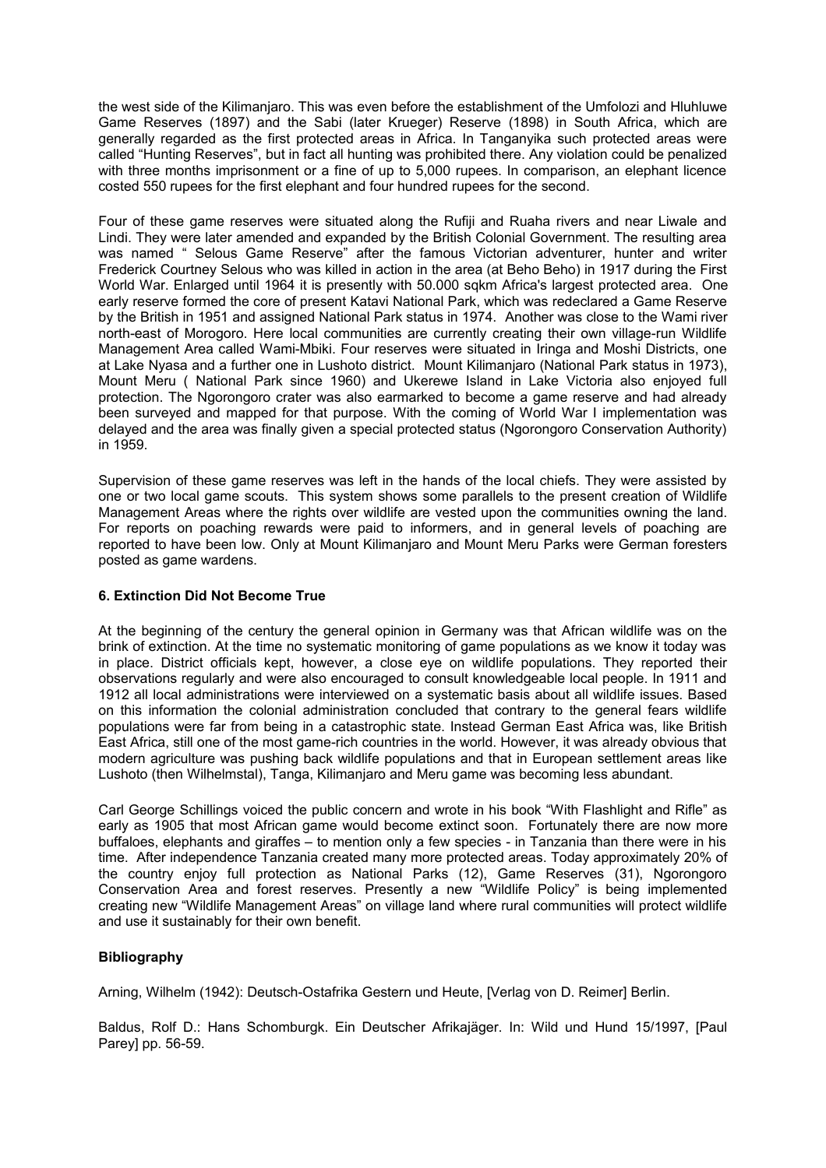the west side of the Kilimanjaro. This was even before the establishment of the Umfolozi and Hluhluwe Game Reserves (1897) and the Sabi (later Krueger) Reserve (1898) in South Africa, which are generally regarded as the first protected areas in Africa. In Tanganyika such protected areas were called "Hunting Reserves", but in fact all hunting was prohibited there. Any violation could be penalized with three months imprisonment or a fine of up to 5,000 rupees. In comparison, an elephant licence costed 550 rupees for the first elephant and four hundred rupees for the second.

Four of these game reserves were situated along the Rufiji and Ruaha rivers and near Liwale and Lindi. They were later amended and expanded by the British Colonial Government. The resulting area was named " Selous Game Reserve" after the famous Victorian adventurer, hunter and writer Frederick Courtney Selous who was killed in action in the area (at Beho Beho) in 1917 during the First World War. Enlarged until 1964 it is presently with 50.000 sqkm Africa's largest protected area. One early reserve formed the core of present Katavi National Park, which was redeclared a Game Reserve by the British in 1951 and assigned National Park status in 1974. Another was close to the Wami river north-east of Morogoro. Here local communities are currently creating their own village-run Wildlife Management Area called Wami-Mbiki. Four reserves were situated in Iringa and Moshi Districts, one at Lake Nyasa and a further one in Lushoto district. Mount Kilimanjaro (National Park status in 1973), Mount Meru ( National Park since 1960) and Ukerewe Island in Lake Victoria also enjoyed full protection. The Ngorongoro crater was also earmarked to become a game reserve and had already been surveyed and mapped for that purpose. With the coming of World War I implementation was delayed and the area was finally given a special protected status (Ngorongoro Conservation Authority) in 1959.

Supervision of these game reserves was left in the hands of the local chiefs. They were assisted by one or two local game scouts. This system shows some parallels to the present creation of Wildlife Management Areas where the rights over wildlife are vested upon the communities owning the land. For reports on poaching rewards were paid to informers, and in general levels of poaching are reported to have been low. Only at Mount Kilimanjaro and Mount Meru Parks were German foresters posted as game wardens.

## **6. Extinction Did Not Become True**

At the beginning of the century the general opinion in Germany was that African wildlife was on the brink of extinction. At the time no systematic monitoring of game populations as we know it today was in place. District officials kept, however, a close eye on wildlife populations. They reported their observations regularly and were also encouraged to consult knowledgeable local people. In 1911 and 1912 all local administrations were interviewed on a systematic basis about all wildlife issues. Based on this information the colonial administration concluded that contrary to the general fears wildlife populations were far from being in a catastrophic state. Instead German East Africa was, like British East Africa, still one of the most game-rich countries in the world. However, it was already obvious that modern agriculture was pushing back wildlife populations and that in European settlement areas like Lushoto (then Wilhelmstal), Tanga, Kilimanjaro and Meru game was becoming less abundant.

Carl George Schillings voiced the public concern and wrote in his book "With Flashlight and Rifle" as early as 1905 that most African game would become extinct soon. Fortunately there are now more buffaloes, elephants and giraffes – to mention only a few species - in Tanzania than there were in his time. After independence Tanzania created many more protected areas. Today approximately 20% of the country enjoy full protection as National Parks (12), Game Reserves (31), Ngorongoro Conservation Area and forest reserves. Presently a new "Wildlife Policy" is being implemented creating new "Wildlife Management Areas" on village land where rural communities will protect wildlife and use it sustainably for their own benefit.

## **Bibliography**

Arning, Wilhelm (1942): Deutsch-Ostafrika Gestern und Heute, [Verlag von D. Reimer] Berlin.

Baldus, Rolf D.: Hans Schomburgk. Ein Deutscher Afrikajäger. In: Wild und Hund 15/1997, [Paul Parey] pp. 56-59.